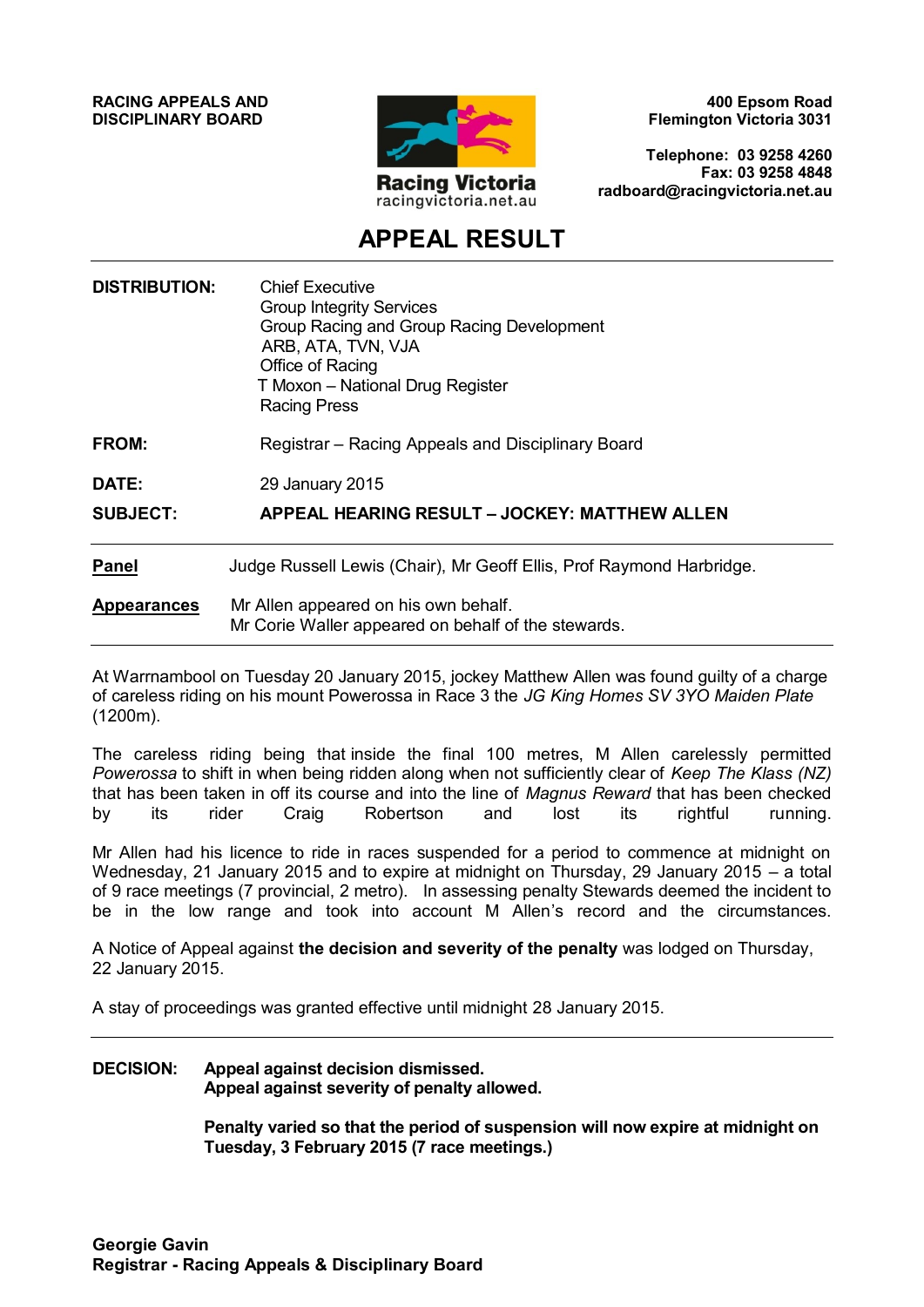**RACING APPEALS AND DISCIPLINARY BOARD**



**400 Epsom Road Flemington Victoria 3031**

**Telephone: 03 9258 4260 Fax: 03 9258 4848 radboard@racingvictoria.net.au**

## **APPEAL RESULT**

| <b>DISTRIBUTION:</b><br><b>FROM:</b><br><b>DATE:</b><br><b>SUBJECT:</b> | <b>Chief Executive</b><br><b>Group Integrity Services</b><br>Group Racing and Group Racing Development<br>ARB, ATA, TVN, VJA<br>Office of Racing<br>T Moxon - National Drug Register<br><b>Racing Press</b><br>Registrar – Racing Appeals and Disciplinary Board<br>29 January 2015<br>APPEAL HEARING RESULT - JOCKEY: MATTHEW ALLEN |                    |                                                                                             |
|-------------------------------------------------------------------------|--------------------------------------------------------------------------------------------------------------------------------------------------------------------------------------------------------------------------------------------------------------------------------------------------------------------------------------|--------------------|---------------------------------------------------------------------------------------------|
|                                                                         |                                                                                                                                                                                                                                                                                                                                      | <b>Panel</b>       | Judge Russell Lewis (Chair), Mr Geoff Ellis, Prof Raymond Harbridge.                        |
|                                                                         |                                                                                                                                                                                                                                                                                                                                      | <b>Appearances</b> | Mr Allen appeared on his own behalf.<br>Mr Corie Waller appeared on behalf of the stewards. |

At Warrnambool on Tuesday 20 January 2015, jockey Matthew Allen was found guilty of a charge of careless riding on his mount Powerossa in Race 3 the *JG King Homes SV 3YO Maiden Plate* (1200m).

The careless riding being that inside the final 100 metres, M Allen carelessly permitted *Powerossa* to shift in when being ridden along when not sufficiently clear of *Keep The Klass (NZ)* that has been taken in off its course and into the line of *Magnus Reward* that has been checked by its rider Craig Robertson and lost its rightful running.

Mr Allen had his licence to ride in races suspended for a period to commence at midnight on Wednesday, 21 January 2015 and to expire at midnight on Thursday, 29 January 2015 – a total of 9 race meetings (7 provincial, 2 metro). In assessing penalty Stewards deemed the incident to be in the low range and took into account M Allen's record and the circumstances.

A Notice of Appeal against **the decision and severity of the penalty** was lodged on Thursday, 22 January 2015.

A stay of proceedings was granted effective until midnight 28 January 2015.

#### **DECISION: Appeal against decision dismissed. Appeal against severity of penalty allowed.**

**Penalty varied so that the period of suspension will now expire at midnight on Tuesday, 3 February 2015 (7 race meetings.)**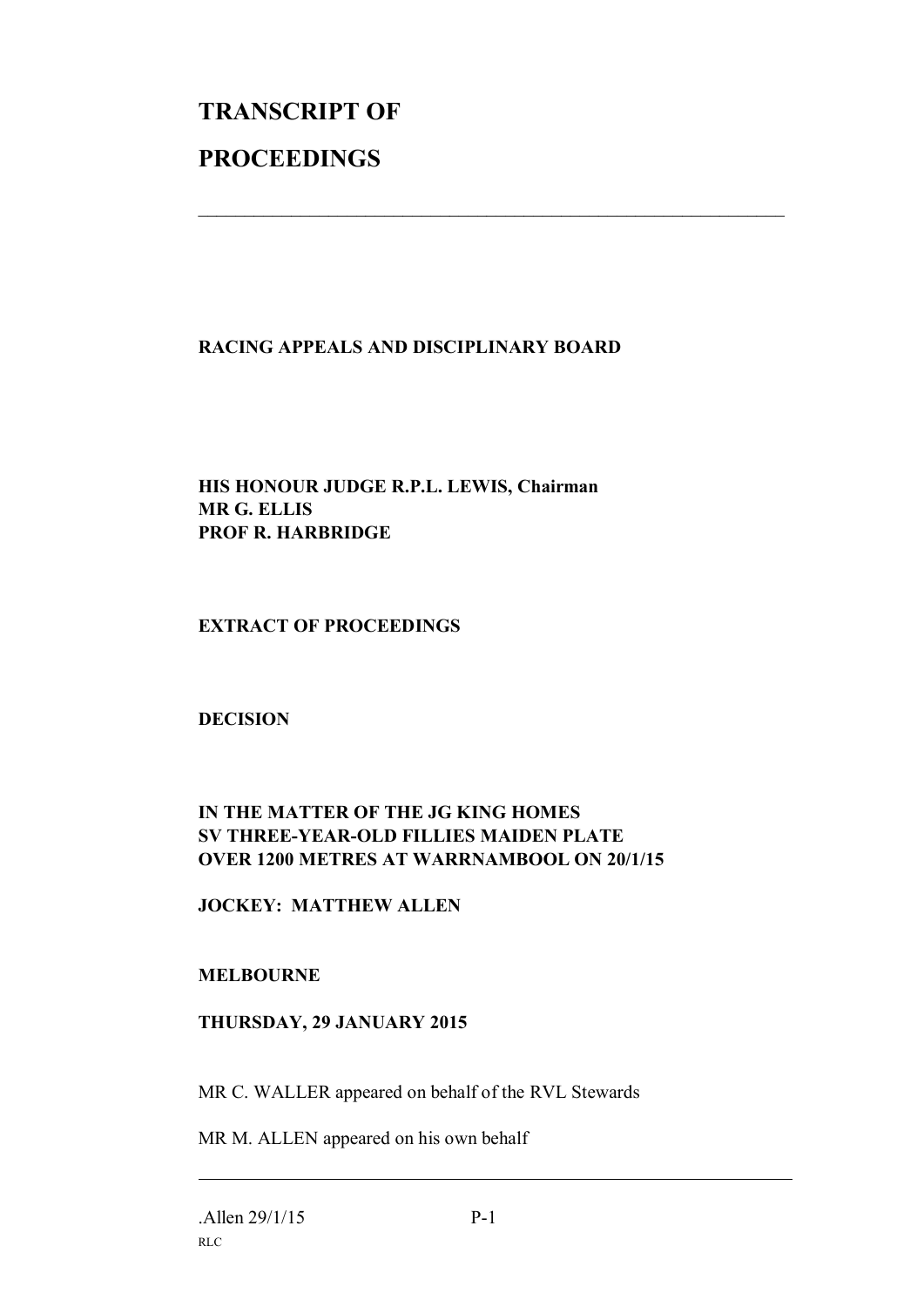# **TRANSCRIPT OF PROCEEDINGS**

### **RACING APPEALS AND DISCIPLINARY BOARD**

 $\mathcal{L}_\text{max}$  , and the contribution of the contribution of the contribution of the contribution of the contribution of the contribution of the contribution of the contribution of the contribution of the contribution of t

#### **HIS HONOUR JUDGE R.P.L. LEWIS, Chairman MR G. ELLIS PROF R. HARBRIDGE**

#### **EXTRACT OF PROCEEDINGS**

#### **DECISION**

### **IN THE MATTER OF THE JG KING HOMES SV THREE-YEAR-OLD FILLIES MAIDEN PLATE OVER 1200 METRES AT WARRNAMBOOL ON 20/1/15**

#### **JOCKEY: MATTHEW ALLEN**

#### **MELBOURNE**

#### **THURSDAY, 29 JANUARY 2015**

MR C. WALLER appeared on behalf of the RVL Stewards

MR M. ALLEN appeared on his own behalf